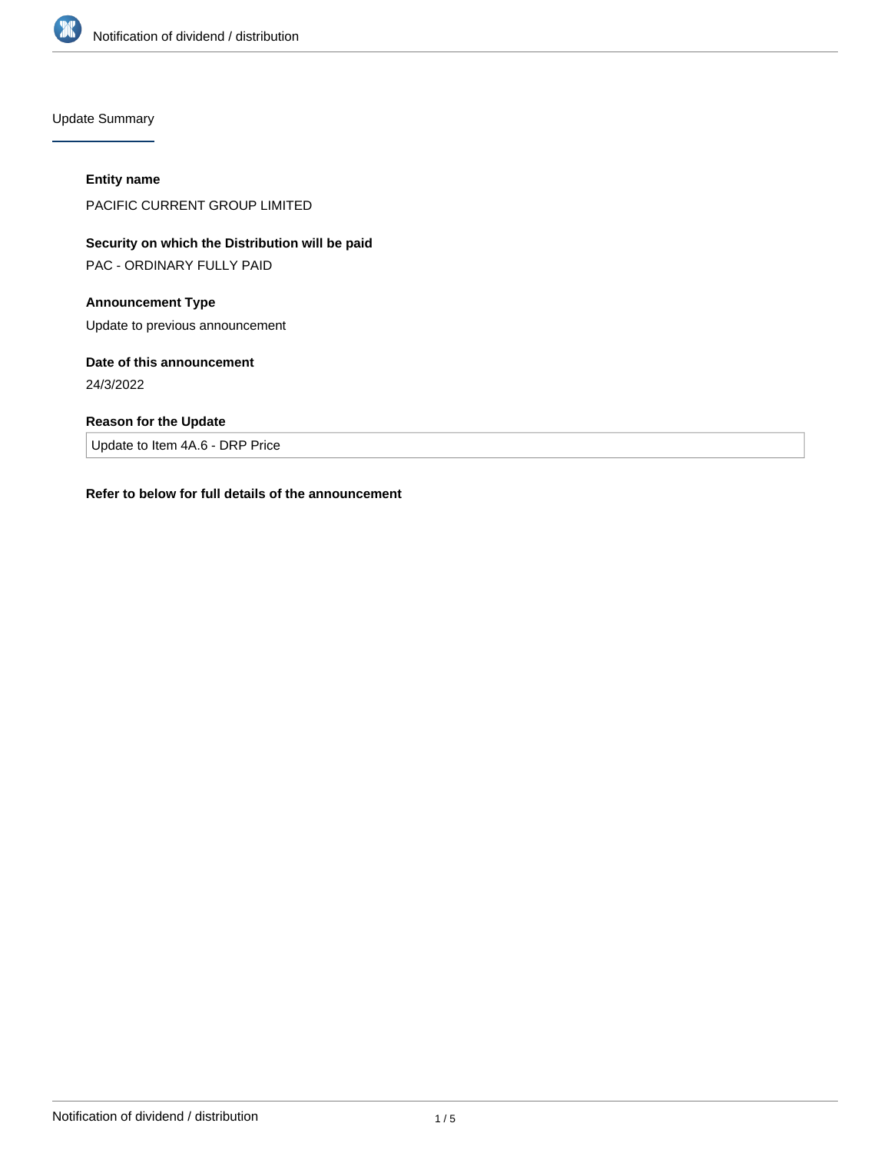

Update Summary

### **Entity name**

PACIFIC CURRENT GROUP LIMITED

# **Security on which the Distribution will be paid**

PAC - ORDINARY FULLY PAID

## **Announcement Type**

Update to previous announcement

## **Date of this announcement**

24/3/2022

## **Reason for the Update**

Update to Item 4A.6 - DRP Price

### **Refer to below for full details of the announcement**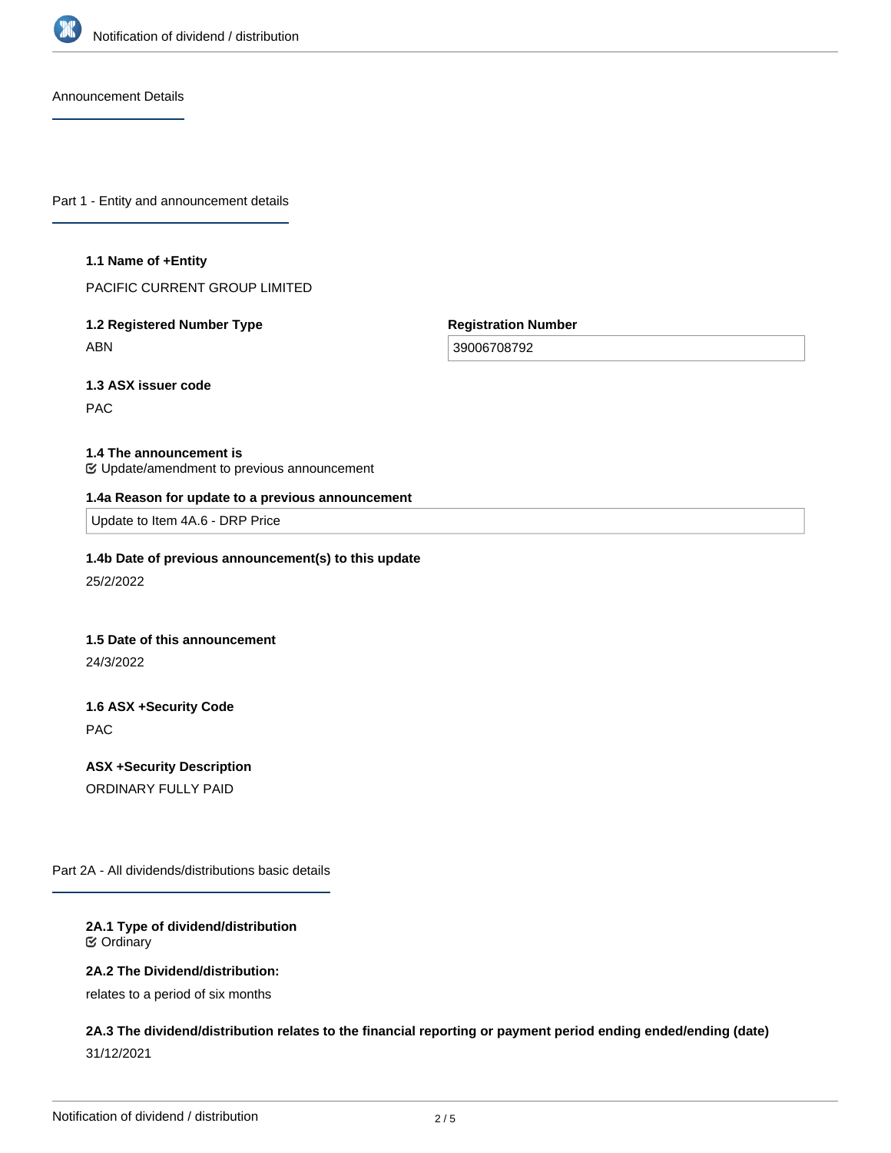

Announcement Details

Part 1 - Entity and announcement details

#### **1.1 Name of +Entity**

PACIFIC CURRENT GROUP LIMITED

## **1.2 Registered Number Type** ABN

**Registration Number**

39006708792

**1.3 ASX issuer code**

PAC

### **1.4 The announcement is**

Update/amendment to previous announcement

#### **1.4a Reason for update to a previous announcement**

Update to Item 4A.6 - DRP Price

### **1.4b Date of previous announcement(s) to this update**

25/2/2022

### **1.5 Date of this announcement**

24/3/2022

## **1.6 ASX +Security Code** PAC

**ASX +Security Description** ORDINARY FULLY PAID

Part 2A - All dividends/distributions basic details

### **2A.1 Type of dividend/distribution** Ordinary

### **2A.2 The Dividend/distribution:**

relates to a period of six months

## **2A.3 The dividend/distribution relates to the financial reporting or payment period ending ended/ending (date)** 31/12/2021

**2A.4 +Record Date**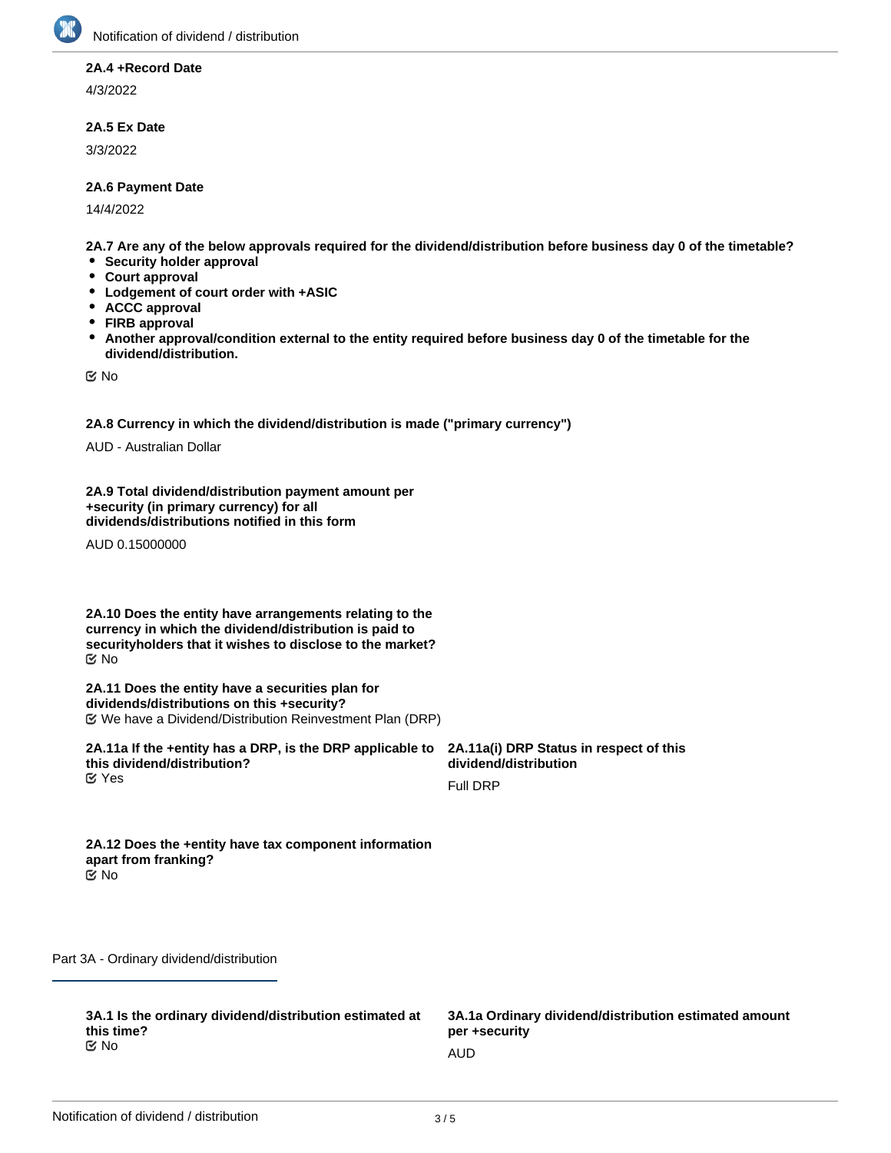

### **2A.4 +Record Date**

4/3/2022

### **2A.5 Ex Date**

3/3/2022

### **2A.6 Payment Date**

14/4/2022

**2A.7 Are any of the below approvals required for the dividend/distribution before business day 0 of the timetable?**

- **•** Security holder approval
- **Court approval**
- **Lodgement of court order with +ASIC**
- **ACCC approval**
- **FIRB approval**
- $\bullet$ **Another approval/condition external to the entity required before business day 0 of the timetable for the dividend/distribution.**

No

**2A.8 Currency in which the dividend/distribution is made ("primary currency")**

AUD - Australian Dollar

**2A.9 Total dividend/distribution payment amount per +security (in primary currency) for all dividends/distributions notified in this form**

AUD 0.15000000

**2A.10 Does the entity have arrangements relating to the currency in which the dividend/distribution is paid to securityholders that it wishes to disclose to the market?** No

**2A.11 Does the entity have a securities plan for dividends/distributions on this +security?** We have a Dividend/Distribution Reinvestment Plan (DRP)

**2A.11a If the +entity has a DRP, is the DRP applicable to this dividend/distribution? K** Yes

**2A.11a(i) DRP Status in respect of this dividend/distribution**

Full DRP

**2A.12 Does the +entity have tax component information apart from franking?** No

Part 3A - Ordinary dividend/distribution

**3A.1 Is the ordinary dividend/distribution estimated at this time?** No and the contract of the contract of the contract of the contract of the contract of the contract of the contract of the contract of the contract of the contract of the contract of the contract of the contract of the con

**3A.1a Ordinary dividend/distribution estimated amount per +security**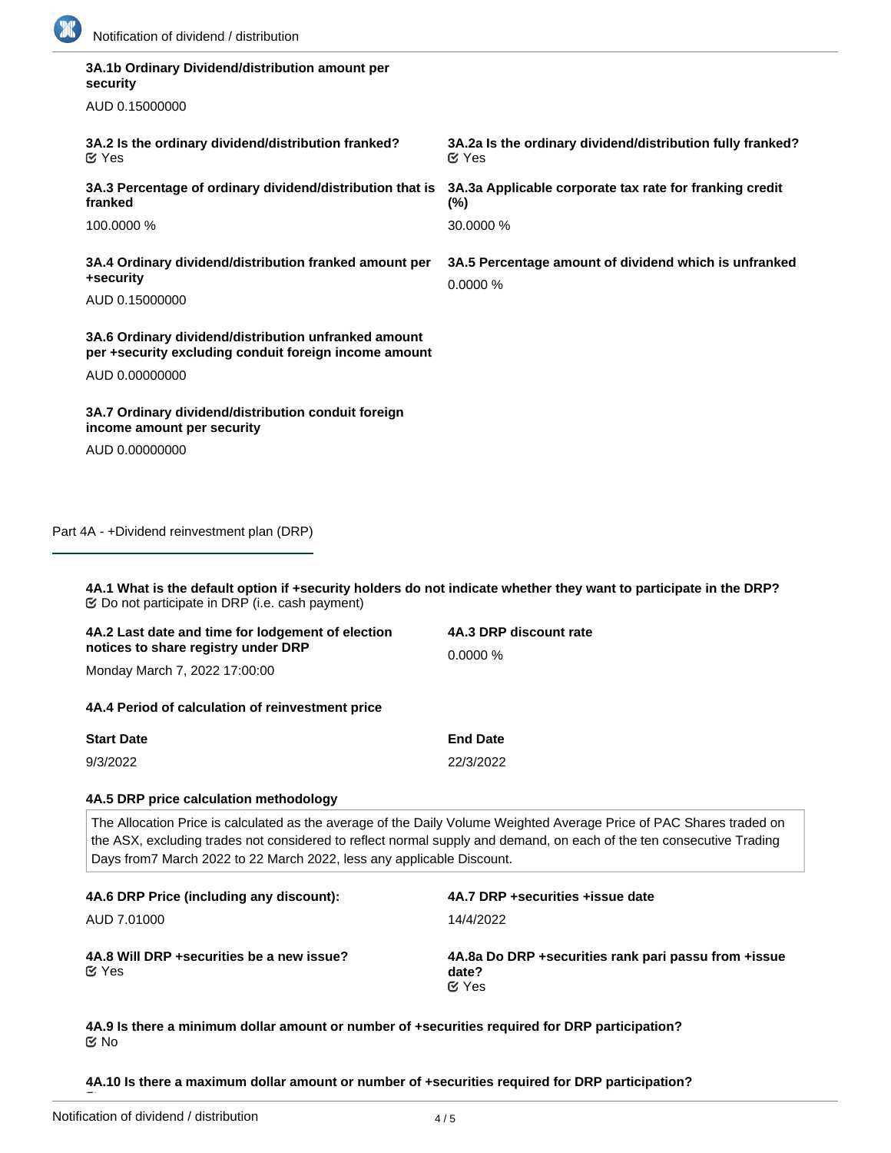

| 3A.1b Ordinary Dividend/distribution amount per<br>security                                                                                                                                                                                                                                                           |                                                                            |
|-----------------------------------------------------------------------------------------------------------------------------------------------------------------------------------------------------------------------------------------------------------------------------------------------------------------------|----------------------------------------------------------------------------|
| AUD 0.15000000                                                                                                                                                                                                                                                                                                        |                                                                            |
| 3A.2 Is the ordinary dividend/distribution franked?<br><b>M</b> Yes                                                                                                                                                                                                                                                   | 3A.2a Is the ordinary dividend/distribution fully franked?<br><b>⊘</b> Yes |
| 3A.3 Percentage of ordinary dividend/distribution that is<br>franked                                                                                                                                                                                                                                                  | 3A.3a Applicable corporate tax rate for franking credit<br>$(\%)$          |
| 100.0000 %                                                                                                                                                                                                                                                                                                            | 30.0000 %                                                                  |
| 3A.4 Ordinary dividend/distribution franked amount per<br>+security                                                                                                                                                                                                                                                   | 3A.5 Percentage amount of dividend which is unfranked<br>0.0000 %          |
| AUD 0.15000000                                                                                                                                                                                                                                                                                                        |                                                                            |
| 3A.6 Ordinary dividend/distribution unfranked amount<br>per +security excluding conduit foreign income amount                                                                                                                                                                                                         |                                                                            |
| AUD 0.00000000                                                                                                                                                                                                                                                                                                        |                                                                            |
| 3A.7 Ordinary dividend/distribution conduit foreign<br>income amount per security                                                                                                                                                                                                                                     |                                                                            |
| AUD 0.00000000                                                                                                                                                                                                                                                                                                        |                                                                            |
| 4A.1 What is the default option if +security holders do not indicate whether they want to participate in the DRP?<br><b> ©</b> Do not participate in DRP (i.e. cash payment)                                                                                                                                          |                                                                            |
| 4A.2 Last date and time for lodgement of election                                                                                                                                                                                                                                                                     | 4A.3 DRP discount rate                                                     |
| notices to share registry under DRP<br>Monday March 7, 2022 17:00:00                                                                                                                                                                                                                                                  | 0.0000 %                                                                   |
| 4A.4 Period of calculation of reinvestment price                                                                                                                                                                                                                                                                      |                                                                            |
| <b>Start Date</b>                                                                                                                                                                                                                                                                                                     | <b>End Date</b>                                                            |
| 9/3/2022                                                                                                                                                                                                                                                                                                              | 22/3/2022                                                                  |
| 4A.5 DRP price calculation methodology                                                                                                                                                                                                                                                                                |                                                                            |
| The Allocation Price is calculated as the average of the Daily Volume Weighted Average Price of PAC Shares traded on<br>the ASX, excluding trades not considered to reflect normal supply and demand, on each of the ten consecutive Trading<br>Days from7 March 2022 to 22 March 2022, less any applicable Discount. |                                                                            |
| 4A.6 DRP Price (including any discount):                                                                                                                                                                                                                                                                              | 4A.7 DRP +securities +issue date                                           |
| AUD 7.01000                                                                                                                                                                                                                                                                                                           | 14/4/2022                                                                  |
| 4A.8 Will DRP + securities be a new issue?<br><b>M</b> Yes                                                                                                                                                                                                                                                            | 4A.8a Do DRP +securities rank pari passu from +issue<br>date?<br>$C$ Yes   |

**4A.9 Is there a minimum dollar amount or number of +securities required for DRP participation?** No

**4A.10 Is there a maximum dollar amount or number of +securities required for DRP participation?**